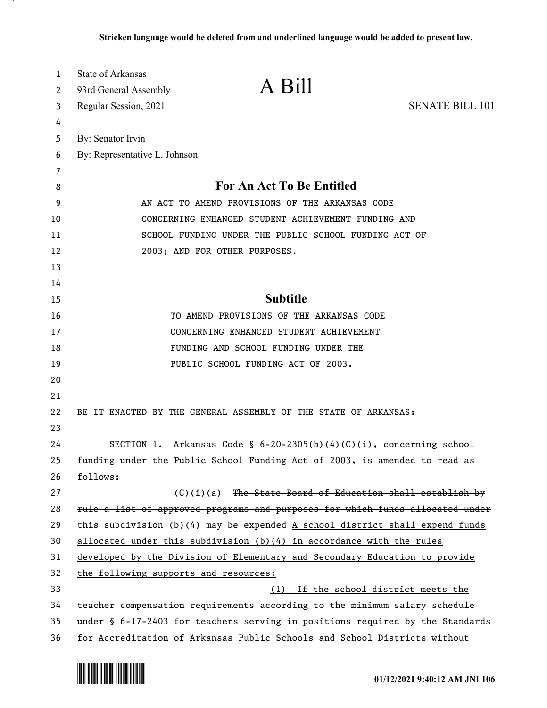| 1        | <b>State of Arkansas</b>                                                       | A Bill                                                       |                        |
|----------|--------------------------------------------------------------------------------|--------------------------------------------------------------|------------------------|
| 2        | 93rd General Assembly                                                          |                                                              |                        |
| 3        | Regular Session, 2021                                                          |                                                              | <b>SENATE BILL 101</b> |
| 4        |                                                                                |                                                              |                        |
| 5        | By: Senator Irvin                                                              |                                                              |                        |
| 6        | By: Representative L. Johnson                                                  |                                                              |                        |
| 7        |                                                                                |                                                              |                        |
| 8        |                                                                                | For An Act To Be Entitled                                    |                        |
| 9        |                                                                                | AN ACT TO AMEND PROVISIONS OF THE ARKANSAS CODE              |                        |
| 10       |                                                                                | CONCERNING ENHANCED STUDENT ACHIEVEMENT FUNDING AND          |                        |
| 11<br>12 | 2003; AND FOR OTHER PURPOSES.                                                  | SCHOOL FUNDING UNDER THE PUBLIC SCHOOL FUNDING ACT OF        |                        |
| 13       |                                                                                |                                                              |                        |
| 14       |                                                                                |                                                              |                        |
| 15       |                                                                                | <b>Subtitle</b>                                              |                        |
| 16       |                                                                                | TO AMEND PROVISIONS OF THE ARKANSAS CODE                     |                        |
| 17       |                                                                                | CONCERNING ENHANCED STUDENT ACHIEVEMENT                      |                        |
| 18       |                                                                                | FUNDING AND SCHOOL FUNDING UNDER THE                         |                        |
| 19       | PUBLIC SCHOOL FUNDING ACT OF 2003.                                             |                                                              |                        |
| 20       |                                                                                |                                                              |                        |
| 21       |                                                                                |                                                              |                        |
| 22       | BE IT ENACTED BY THE GENERAL ASSEMBLY OF THE STATE OF ARKANSAS:                |                                                              |                        |
| 23       |                                                                                |                                                              |                        |
| 24       | SECTION 1. Arkansas Code § $6-20-2305(b)(4)(C)(i)$ , concerning school         |                                                              |                        |
| 25       | funding under the Public School Funding Act of 2003, is amended to read as     |                                                              |                        |
| 26       | follows:                                                                       |                                                              |                        |
| 27       |                                                                                | $(C)$ (i)(a) The State Board of Education shall establish by |                        |
| 28       | rule a list of approved programs and purposes for which funds allocated under  |                                                              |                        |
| 29       | this subdivision $(b)(4)$ may be expended A school district shall expend funds |                                                              |                        |
| 30       | allocated under this subdivision (b)(4) in accordance with the rules           |                                                              |                        |
| 31       | developed by the Division of Elementary and Secondary Education to provide     |                                                              |                        |
| 32       | the following supports and resources:                                          |                                                              |                        |
| 33       |                                                                                | If the school district meets the<br>(1)                      |                        |
| 34       | teacher compensation requirements according to the minimum salary schedule     |                                                              |                        |
| 35       | under § 6-17-2403 for teachers serving in positions required by the Standards  |                                                              |                        |
| 36       | for Accreditation of Arkansas Public Schools and School Districts without      |                                                              |                        |

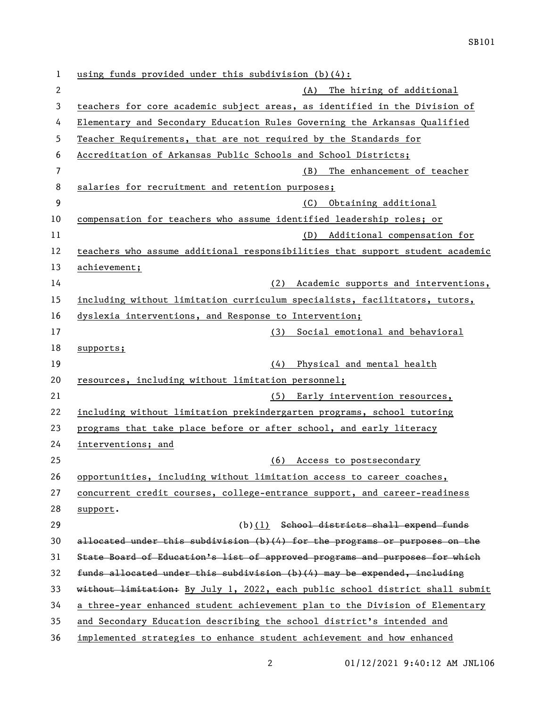using funds provided under this subdivision (b)(4): (A) The hiring of additional teachers for core academic subject areas, as identified in the Division of Elementary and Secondary Education Rules Governing the Arkansas Qualified Teacher Requirements, that are not required by the Standards for Accreditation of Arkansas Public Schools and School Districts; (B) The enhancement of teacher salaries for recruitment and retention purposes; (C) Obtaining additional compensation for teachers who assume identified leadership roles; or 11 (D) Additional compensation for teachers who assume additional responsibilities that support student academic achievement; (2) Academic supports and interventions, including without limitation curriculum specialists, facilitators, tutors, dyslexia interventions, and Response to Intervention; 17 (3) Social emotional and behavioral supports; (4) Physical and mental health resources, including without limitation personnel; (5) Early intervention resources, including without limitation prekindergarten programs, school tutoring programs that take place before or after school, and early literacy interventions; and (6) Access to postsecondary opportunities, including without limitation access to career coaches, concurrent credit courses, college-entrance support, and career-readiness support. 29 (b)(1) School districts shall expend funds allocated under this subdivision (b)(4) for the programs or purposes on the State Board of Education's list of approved programs and purposes for which funds allocated under this subdivision (b)(4) may be expended, including 33 without limitation: By July 1, 2022, each public school district shall submit a three-year enhanced student achievement plan to the Division of Elementary and Secondary Education describing the school district's intended and implemented strategies to enhance student achievement and how enhanced

01/12/2021 9:40:12 AM JNL106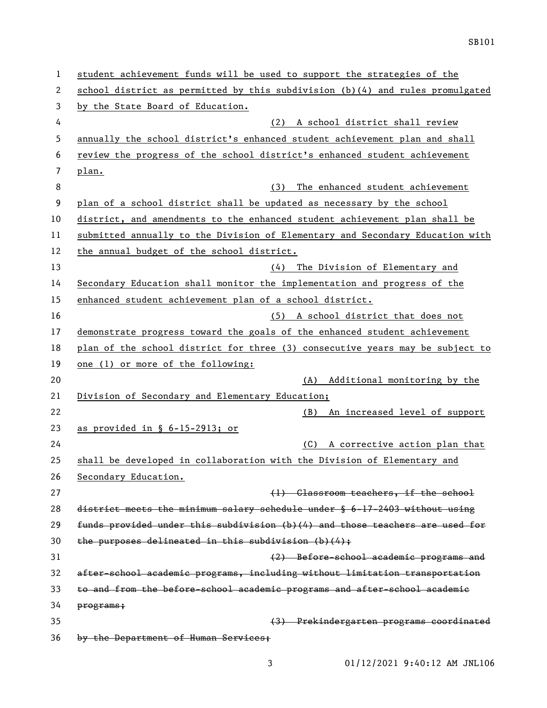| 1  | student achievement funds will be used to support the strategies of the                |
|----|----------------------------------------------------------------------------------------|
| 2  | school district as permitted by this subdivision (b)(4) and rules promulgated          |
| 3  | by the State Board of Education.                                                       |
| 4  | (2) A school district shall review                                                     |
| 5  | annually the school district's enhanced student achievement plan and shall             |
| 6  | review the progress of the school district's enhanced student achievement              |
| 7  | plan.                                                                                  |
| 8  | (3)<br>The enhanced student achievement                                                |
| 9  | plan of a school district shall be updated as necessary by the school                  |
| 10 | district, and amendments to the enhanced student achievement plan shall be             |
| 11 | submitted annually to the Division of Elementary and Secondary Education with          |
| 12 | the annual budget of the school district.                                              |
| 13 | The Division of Elementary and<br>(4)                                                  |
| 14 | Secondary Education shall monitor the implementation and progress of the               |
| 15 | enhanced student achievement plan of a school district.                                |
| 16 | (5) A school district that does not                                                    |
| 17 | demonstrate progress toward the goals of the enhanced student achievement              |
| 18 | plan of the school district for three (3) consecutive years may be subject to          |
| 19 | one (1) or more of the following:                                                      |
| 20 | (A) Additional monitoring by the                                                       |
| 21 | Division of Secondary and Elementary Education;                                        |
| 22 | An increased level of support<br>(B)                                                   |
| 23 | as provided in § 6-15-2913; or                                                         |
| 24 | A corrective action plan that<br>(C)                                                   |
| 25 | shall be developed in collaboration with the Division of Elementary and                |
| 26 | Secondary Education.                                                                   |
| 27 | (1) Classroom teachers, if the school                                                  |
| 28 | district meets the minimum salary schedule under $\frac{6}{3}$ 6-17-2403 without using |
| 29 | funds provided under this subdivision (b)(4) and those teachers are used for           |
| 30 | the purposes delineated in this subdivision $(b)$ $(4)$ ;                              |
| 31 | (2) Before-school academic programs and                                                |
| 32 | after-school academic programs, including without limitation transportation            |
| 33 | to and from the before-school academic programs and after-school academic              |
| 34 | programs;                                                                              |
| 35 | (3) Prekindergarten programs coordinated                                               |
| 36 | by the Department of Human Services;                                                   |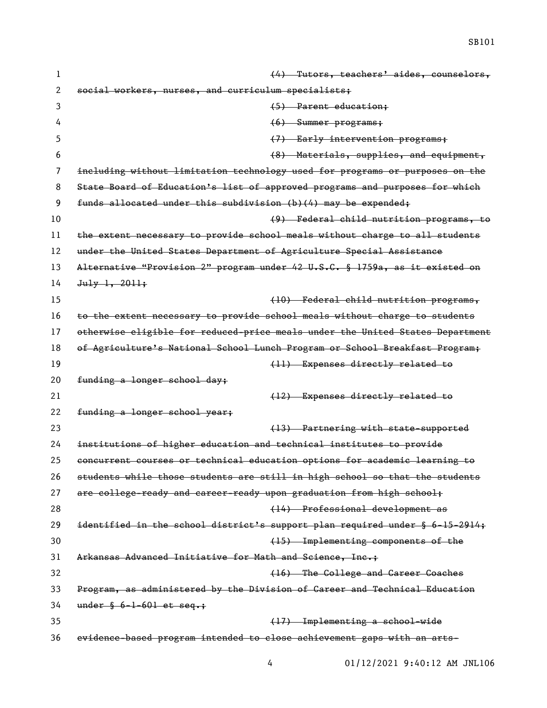| 1  | (4) Tutors, teachers' aides, counselors,                                      |
|----|-------------------------------------------------------------------------------|
| 2  | social workers, nurses, and curriculum specialists;                           |
| 3  | (5) Parent education;                                                         |
| 4  | $(6)$ Summer programs;                                                        |
| 5  | (7) Early intervention programs;                                              |
| 6  | (8) Materials, supplies, and equipment,                                       |
| 7  | including without limitation technology used for programs or purposes on the  |
| 8  | State Board of Education's list of approved programs and purposes for which   |
| 9  | funds allocated under this subdivision (b)(4) may be expended;                |
| 10 | (9) Federal child nutrition programs, to                                      |
| 11 | the extent necessary to provide school meals without charge to all students   |
| 12 | under the United States Department of Agriculture Special Assistance          |
| 13 | Alternative "Provision 2" program under 42 U.S.C. § 1759a, as it existed on   |
| 14 | $Ju1y$ 1, 2011;                                                               |
| 15 | (10) Federal child nutrition programs,                                        |
| 16 | to the extent necessary to provide school meals without charge to students    |
| 17 | otherwise eligible for reduced-price meals under the United States Department |
| 18 | of Agriculture's National School Lunch Program or School Breakfast Program;   |
| 19 | (11) Expenses directly related to                                             |
| 20 | funding a longer school day;                                                  |
| 21 | (12) Expenses directly related to                                             |
| 22 | funding a longer school year;                                                 |
| 23 | (13) Partnering with state-supported                                          |
| 24 | institutions of higher education and technical institutes to provide          |
| 25 | concurrent courses or technical education options for academic learning to    |
| 26 | students while those students are still in high school so that the students   |
| 27 | are college-ready and career-ready upon graduation from high school;          |
| 28 | (14) Professional development as                                              |
| 29 | identified in the school district's support plan required under § 6-15-2914;  |
| 30 | (15) Implementing components of the                                           |
| 31 | Arkansas Advanced Initiative for Math and Science, Inc.+                      |
| 32 | (16) The College and Career Coaches                                           |
| 33 | Program, as administered by the Division of Career and Technical Education    |
| 34 | under $§ 6-1-601$ et seq.;                                                    |
| 35 | (17) Implementing a school-wide                                               |
| 36 | evidence based program intended to close achievement gaps with an arts-       |

01/12/2021 9:40:12 AM JNL106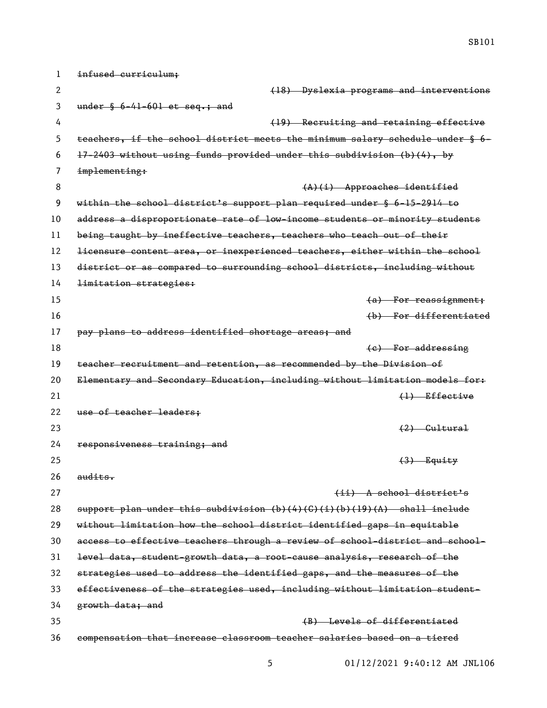| 1  | infused curriculum;                                                                          |
|----|----------------------------------------------------------------------------------------------|
| 2  | (18) Dyslexia programs and interventions                                                     |
| 3  | under $§ 6-41-601$ et seq.; and                                                              |
| 4  | (19) Recruiting and retaining effective                                                      |
| 5  | teachers, if the school district meets the minimum salary schedule under § 6-                |
| 6  | 17-2403 without using funds provided under this subdivision (b)(4), by                       |
| 7  | implementing:                                                                                |
| 8  | $(A)(i)$ Approaches identified                                                               |
| 9  | within the school district's support plan required under $\S$ 6-15-2914 to                   |
| 10 | address a disproportionate rate of low-income students or minority students                  |
| 11 | being taught by ineffective teachers, teachers who teach out of their                        |
| 12 | licensure content area, or inexperienced teachers, either within the school                  |
| 13 | district or as compared to surrounding school districts, including without                   |
| 14 | limitation strategies:                                                                       |
| 15 | $(a)$ For reassignment;                                                                      |
| 16 | (b) For differentiated                                                                       |
| 17 | pay plans to address identified shortage areas; and                                          |
| 18 | (e) For addressing                                                                           |
| 19 | teacher recruitment and retention, as recommended by the Division of                         |
| 20 | Elementary and Secondary Education, including without limitation models for:                 |
| 21 | $\left\{ \downarrow \right\}$ Effective                                                      |
| 22 | use of teacher leaders:                                                                      |
| 23 | $(2)$ Gultural                                                                               |
| 24 | responsiveness training; and                                                                 |
| 25 | $(3)$ Equity                                                                                 |
| 26 | audits.                                                                                      |
| 27 | (ii) A school district's                                                                     |
| 28 | support plan under this subdivision $(b)$ $(4)$ $(6)$ $(1)$ $(b)$ $(19)$ $(A)$ shall include |
| 29 | without limitation how the school district identified gaps in equitable                      |
| 30 | access to effective teachers through a review of school-district and school-                 |
| 31 | level data, student growth data, a root cause analysis, research of the                      |
| 32 | strategies used to address the identified gaps, and the measures of the                      |
| 33 | effectiveness of the strategies used, including without limitation student-                  |
| 34 | growth data; and                                                                             |
| 35 | (B) Levels of differentiated                                                                 |
| 36 | compensation that increase classroom teacher salaries based on a tiered                      |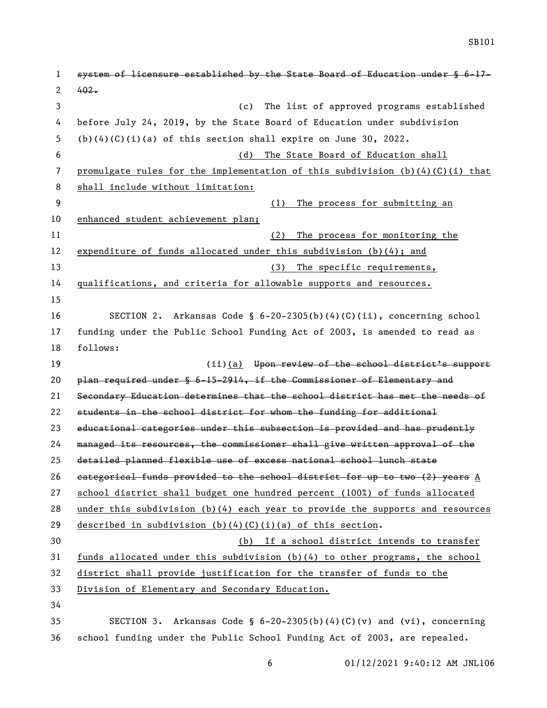| 1  | system of licensure established by the State Board of Education under § 6-17-   |
|----|---------------------------------------------------------------------------------|
| 2  | $402 -$                                                                         |
| 3  | The list of approved programs established<br>(c)                                |
| 4  | before July 24, 2019, by the State Board of Education under subdivision         |
| 5  | $(b)(4)(C)(i)(a)$ of this section shall expire on June 30, 2022.                |
| 6  | The State Board of Education shall<br>(d)                                       |
| 7  | promulgate rules for the implementation of this subdivision $(b)(4)(C)(i)$ that |
| 8  | shall include without limitation:                                               |
| 9  | The process for submitting an<br>(1)                                            |
| 10 | enhanced student achievement plan;                                              |
| 11 | The process for monitoring the<br>(2)                                           |
| 12 | expenditure of funds allocated under this subdivision $(b)(4)$ ; and            |
| 13 | (3)<br>The specific requirements,                                               |
| 14 | qualifications, and criteria for allowable supports and resources.              |
| 15 |                                                                                 |
| 16 | Arkansas Code § 6-20-2305(b)(4)(C)(ii), concerning school<br>SECTION 2.         |
| 17 | funding under the Public School Funding Act of 2003, is amended to read as      |
| 18 | follows:                                                                        |
| 19 | $(i)$ (a) Upon review of the school district's support                          |
| 20 | plan required under § 6-15-2914, if the Commissioner of Elementary and          |
| 21 | Secondary Education determines that the school district has met the needs of    |
| 22 | students in the school district for whom the funding for additional             |
| 23 | educational categories under this subsection is provided and has prudently      |
| 24 | managed its resources, the commissioner shall give written approval of the      |
| 25 | detailed planned flexible use of excess national school lunch state             |
| 26 | eategorical funds provided to the school district for up to two (2) years A     |
| 27 | school district shall budget one hundred percent (100%) of funds allocated      |
| 28 | under this subdivision $(b)(4)$ each year to provide the supports and resources |
| 29 | described in subdivision $(b) (4) (C) (i) (a)$ of this section.                 |
| 30 | (b) If a school district intends to transfer                                    |
| 31 | funds allocated under this subdivision $(b)(4)$ to other programs, the school   |
| 32 | district shall provide justification for the transfer of funds to the           |
| 33 | Division of Elementary and Secondary Education.                                 |
| 34 |                                                                                 |
| 35 | SECTION 3. Arkansas Code § $6-20-2305(b)(4)(C)(v)$ and $(vi)$ , concerning      |
| 36 | school funding under the Public School Funding Act of 2003, are repealed.       |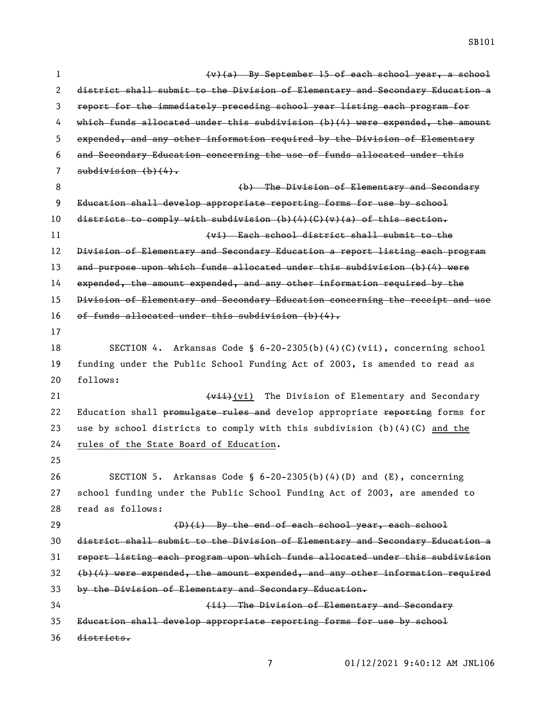$\psi(a)$  By September 15 of each school year, a school district shall submit to the Division of Elementary and Secondary Education a report for the immediately preceding school year listing each program for which funds allocated under this subdivision (b)(4) were expended, the amount expended, and any other information required by the Division of Elementary and Secondary Education concerning the use of funds allocated under this 7 subdivision  $(b)$   $(4)$ . (b) The Division of Elementary and Secondary Education shall develop appropriate reporting forms for use by school 10 districts to comply with subdivision (b)(4)(G)(v)(a) of this section. (vi) Each school district shall submit to the Division of Elementary and Secondary Education a report listing each program and purpose upon which funds allocated under this subdivision (b)(4) were expended, the amount expended, and any other information required by the Division of Elementary and Secondary Education concerning the receipt and use of funds allocated under this subdivision (b)(4). SECTION 4. Arkansas Code § 6-20-2305(b)(4)(C)(vii), concerning school funding under the Public School Funding Act of 2003, is amended to read as follows: 21 (vii) The Division of Elementary and Secondary 22 Education shall promulgate rules and develop appropriate reporting forms for use by school districts to comply with this subdivision (b)(4)(C) and the rules of the State Board of Education. SECTION 5. Arkansas Code § 6-20-2305(b)(4)(D) and (E), concerning school funding under the Public School Funding Act of 2003, are amended to read as follows: 29 (D)(i) By the end of each school year, each school district shall submit to the Division of Elementary and Secondary Education a report listing each program upon which funds allocated under this subdivision (b)(4) were expended, the amount expended, and any other information required by the Division of Elementary and Secondary Education. (ii) The Division of Elementary and Secondary Education shall develop appropriate reporting forms for use by school districts.

SB101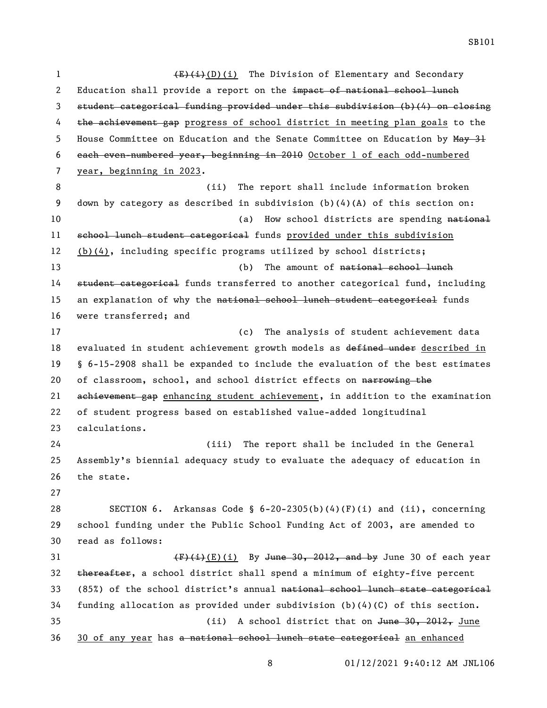1 (E)(i)(D)(i) The Division of Elementary and Secondary 2 Education shall provide a report on the impact of national school lunch 3 student categorical funding provided under this subdivision (b)(4) on closing 4 the achievement gap progress of school district in meeting plan goals to the 5 House Committee on Education and the Senate Committee on Education by May 31 6 each even-numbered year, beginning in 2010 October 1 of each odd-numbered 7 year, beginning in 2023. 8 (ii) The report shall include information broken 9 down by category as described in subdivision (b)(4)(A) of this section on: 10 (a) How school districts are spending national 11 school lunch student categorical funds provided under this subdivision 12 (b)(4), including specific programs utilized by school districts; 13 (b) The amount of <del>national school lunch</del> 14 student categorical funds transferred to another categorical fund, including 15 an explanation of why the national school lunch student categorical funds 16 were transferred; and 17 (c) The analysis of student achievement data 18 evaluated in student achievement growth models as defined under described in 19 § 6-15-2908 shall be expanded to include the evaluation of the best estimates 20 of classroom, school, and school district effects on narrowing the 21 achievement gap enhancing student achievement, in addition to the examination 22 of student progress based on established value-added longitudinal 23 calculations. 24 (iii) The report shall be included in the General 25 Assembly's biennial adequacy study to evaluate the adequacy of education in 26 the state. 27 28 SECTION 6. Arkansas Code § 6-20-2305(b)(4)(F)(i) and (ii), concerning 29 school funding under the Public School Funding Act of 2003, are amended to 30 read as follows: 31  $(F)(i)$ (E)(i) By June 30, 2012, and by June 30 of each year 32 thereafter, a school district shall spend a minimum of eighty-five percent 33 (85%) of the school district's annual national school lunch state categorical 34 funding allocation as provided under subdivision (b)(4)(C) of this section. 35 (ii) A school district that on June 30, 2012, June 36 30 of any year has a national school lunch state categorical an enhanced

SB101

8 01/12/2021 9:40:12 AM JNL106